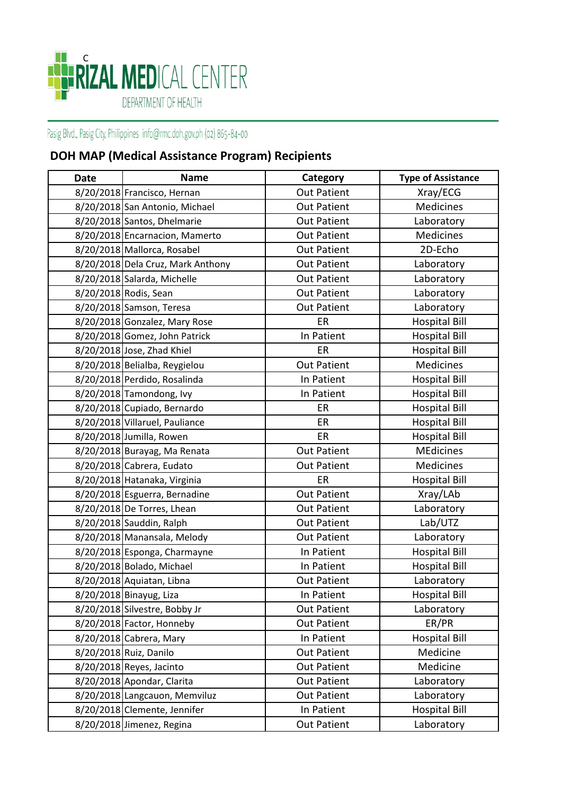## ERIZAL MEDICAL CENTER DEPARTMENT OF HEALTH

Pasig Blvd., Pasig City, Philippines info@rmc.doh.gov.ph (02) 865-84-00

## **DOH MAP (Medical Assistance Program) Recipients**

| <b>Date</b> | <b>Name</b>                       | Category           | <b>Type of Assistance</b> |
|-------------|-----------------------------------|--------------------|---------------------------|
|             | 8/20/2018 Francisco, Hernan       | <b>Out Patient</b> | Xray/ECG                  |
|             | 8/20/2018 San Antonio, Michael    | <b>Out Patient</b> | Medicines                 |
|             | 8/20/2018 Santos, Dhelmarie       | <b>Out Patient</b> | Laboratory                |
|             | 8/20/2018 Encarnacion, Mamerto    | <b>Out Patient</b> | Medicines                 |
|             | 8/20/2018 Mallorca, Rosabel       | <b>Out Patient</b> | 2D-Echo                   |
|             | 8/20/2018 Dela Cruz, Mark Anthony | <b>Out Patient</b> | Laboratory                |
|             | 8/20/2018 Salarda, Michelle       | <b>Out Patient</b> | Laboratory                |
|             | 8/20/2018 Rodis, Sean             | <b>Out Patient</b> | Laboratory                |
|             | 8/20/2018 Samson, Teresa          | <b>Out Patient</b> | Laboratory                |
|             | 8/20/2018 Gonzalez, Mary Rose     | ER                 | <b>Hospital Bill</b>      |
|             | 8/20/2018 Gomez, John Patrick     | In Patient         | <b>Hospital Bill</b>      |
|             | 8/20/2018 Jose, Zhad Khiel        | ER                 | <b>Hospital Bill</b>      |
|             | 8/20/2018 Belialba, Reygielou     | <b>Out Patient</b> | <b>Medicines</b>          |
|             | 8/20/2018 Perdido, Rosalinda      | In Patient         | <b>Hospital Bill</b>      |
|             | $8/20/2018$ Tamondong, Ivy        | In Patient         | <b>Hospital Bill</b>      |
|             | 8/20/2018 Cupiado, Bernardo       | ER                 | <b>Hospital Bill</b>      |
|             | 8/20/2018 Villaruel, Pauliance    | ER                 | <b>Hospital Bill</b>      |
|             | 8/20/2018 Jumilla, Rowen          | ER                 | <b>Hospital Bill</b>      |
|             | 8/20/2018 Burayag, Ma Renata      | <b>Out Patient</b> | <b>MEdicines</b>          |
|             | 8/20/2018 Cabrera, Eudato         | <b>Out Patient</b> | Medicines                 |
|             | 8/20/2018 Hatanaka, Virginia      | ER                 | <b>Hospital Bill</b>      |
|             | 8/20/2018 Esguerra, Bernadine     | <b>Out Patient</b> | Xray/LAb                  |
|             | 8/20/2018 De Torres, Lhean        | <b>Out Patient</b> | Laboratory                |
|             | 8/20/2018 Sauddin, Ralph          | <b>Out Patient</b> | Lab/UTZ                   |
|             | 8/20/2018 Manansala, Melody       | <b>Out Patient</b> | Laboratory                |
|             | 8/20/2018 Esponga, Charmayne      | In Patient         | <b>Hospital Bill</b>      |
|             | 8/20/2018 Bolado, Michael         | In Patient         | <b>Hospital Bill</b>      |
|             | 8/20/2018 Aquiatan, Libna         | <b>Out Patient</b> | Laboratory                |
|             | 8/20/2018 Binayug, Liza           | In Patient         | <b>Hospital Bill</b>      |
|             | 8/20/2018 Silvestre, Bobby Jr     | <b>Out Patient</b> | Laboratory                |
|             | 8/20/2018 Factor, Honneby         | <b>Out Patient</b> | ER/PR                     |
|             | 8/20/2018 Cabrera, Mary           | In Patient         | <b>Hospital Bill</b>      |
|             | 8/20/2018 Ruiz, Danilo            | <b>Out Patient</b> | Medicine                  |
|             | 8/20/2018 Reyes, Jacinto          | <b>Out Patient</b> | Medicine                  |
|             | 8/20/2018 Apondar, Clarita        | <b>Out Patient</b> | Laboratory                |
|             | 8/20/2018 Langcauon, Memviluz     | <b>Out Patient</b> | Laboratory                |
|             | 8/20/2018 Clemente, Jennifer      | In Patient         | <b>Hospital Bill</b>      |
|             | 8/20/2018 Jimenez, Regina         | <b>Out Patient</b> | Laboratory                |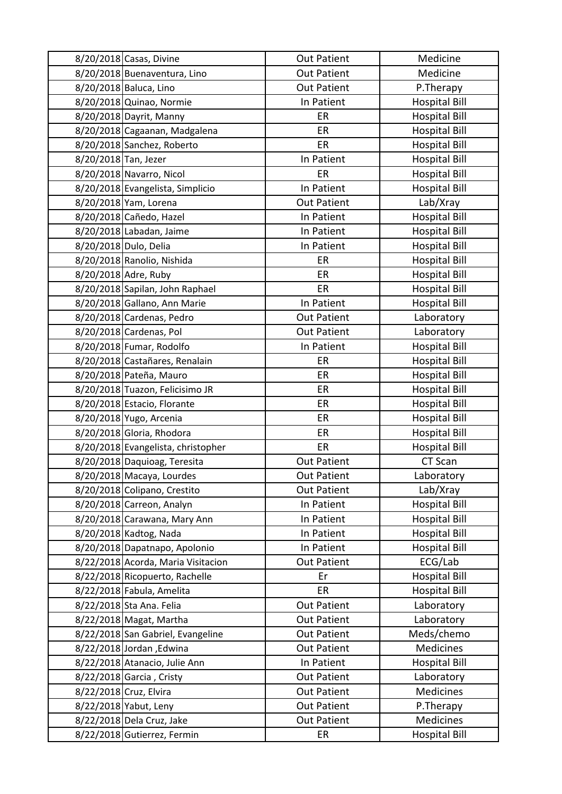|                      | 8/20/2018 Casas, Divine            | <b>Out Patient</b> | Medicine             |
|----------------------|------------------------------------|--------------------|----------------------|
|                      | 8/20/2018 Buenaventura, Lino       | <b>Out Patient</b> | Medicine             |
|                      | 8/20/2018 Baluca, Lino             | <b>Out Patient</b> | P.Therapy            |
|                      | 8/20/2018 Quinao, Normie           | In Patient         | <b>Hospital Bill</b> |
|                      | 8/20/2018 Dayrit, Manny            | ER                 | <b>Hospital Bill</b> |
|                      | 8/20/2018 Cagaanan, Madgalena      | ER                 | <b>Hospital Bill</b> |
|                      | 8/20/2018 Sanchez, Roberto         | ER                 | <b>Hospital Bill</b> |
| 8/20/2018 Tan, Jezer |                                    | In Patient         | <b>Hospital Bill</b> |
|                      | 8/20/2018 Navarro, Nicol           | ER                 | <b>Hospital Bill</b> |
|                      | 8/20/2018 Evangelista, Simplicio   | In Patient         | <b>Hospital Bill</b> |
|                      | 8/20/2018 Yam, Lorena              | <b>Out Patient</b> | Lab/Xray             |
|                      | 8/20/2018 Cañedo, Hazel            | In Patient         | <b>Hospital Bill</b> |
|                      | 8/20/2018 Labadan, Jaime           | In Patient         | <b>Hospital Bill</b> |
|                      | 8/20/2018 Dulo, Delia              | In Patient         | <b>Hospital Bill</b> |
|                      | 8/20/2018 Ranolio, Nishida         | ER                 | <b>Hospital Bill</b> |
|                      | 8/20/2018 Adre, Ruby               | ER                 | <b>Hospital Bill</b> |
|                      | 8/20/2018 Sapilan, John Raphael    | ER                 | <b>Hospital Bill</b> |
|                      | 8/20/2018 Gallano, Ann Marie       | In Patient         | <b>Hospital Bill</b> |
|                      | 8/20/2018 Cardenas, Pedro          | <b>Out Patient</b> | Laboratory           |
|                      | 8/20/2018 Cardenas, Pol            | <b>Out Patient</b> | Laboratory           |
|                      | 8/20/2018 Fumar, Rodolfo           | In Patient         | <b>Hospital Bill</b> |
|                      | 8/20/2018 Castañares, Renalain     | ER                 | <b>Hospital Bill</b> |
|                      | 8/20/2018 Pateña, Mauro            | ER                 | <b>Hospital Bill</b> |
|                      | 8/20/2018 Tuazon, Felicisimo JR    | ER                 | <b>Hospital Bill</b> |
|                      | 8/20/2018 Estacio, Florante        | ER                 | <b>Hospital Bill</b> |
|                      | 8/20/2018 Yugo, Arcenia            | ER                 | <b>Hospital Bill</b> |
|                      | 8/20/2018 Gloria, Rhodora          | ER                 | <b>Hospital Bill</b> |
|                      | 8/20/2018 Evangelista, christopher | ER                 | <b>Hospital Bill</b> |
|                      | 8/20/2018 Daquioag, Teresita       | <b>Out Patient</b> | CT Scan              |
|                      | 8/20/2018 Macaya, Lourdes          | <b>Out Patient</b> | Laboratory           |
|                      | 8/20/2018 Colipano, Crestito       | <b>Out Patient</b> | Lab/Xray             |
|                      | 8/20/2018 Carreon, Analyn          | In Patient         | <b>Hospital Bill</b> |
|                      | 8/20/2018 Carawana, Mary Ann       | In Patient         | <b>Hospital Bill</b> |
|                      | 8/20/2018 Kadtog, Nada             | In Patient         | <b>Hospital Bill</b> |
|                      | 8/20/2018 Dapatnapo, Apolonio      | In Patient         | <b>Hospital Bill</b> |
|                      | 8/22/2018 Acorda, Maria Visitacion | <b>Out Patient</b> | ECG/Lab              |
|                      | 8/22/2018 Ricopuerto, Rachelle     | Er                 | <b>Hospital Bill</b> |
|                      | 8/22/2018 Fabula, Amelita          | ER                 | <b>Hospital Bill</b> |
|                      | 8/22/2018 Sta Ana. Felia           | <b>Out Patient</b> | Laboratory           |
|                      | 8/22/2018 Magat, Martha            | <b>Out Patient</b> | Laboratory           |
|                      | 8/22/2018 San Gabriel, Evangeline  | <b>Out Patient</b> | Meds/chemo           |
|                      | 8/22/2018 Jordan, Edwina           | <b>Out Patient</b> | Medicines            |
|                      | 8/22/2018 Atanacio, Julie Ann      | In Patient         | <b>Hospital Bill</b> |
|                      | 8/22/2018 Garcia, Cristy           | <b>Out Patient</b> | Laboratory           |
|                      | 8/22/2018 Cruz, Elvira             | <b>Out Patient</b> | Medicines            |
|                      | 8/22/2018 Yabut, Leny              | <b>Out Patient</b> | P.Therapy            |
|                      | 8/22/2018 Dela Cruz, Jake          | <b>Out Patient</b> | <b>Medicines</b>     |
|                      | 8/22/2018 Gutierrez, Fermin        | ER                 | <b>Hospital Bill</b> |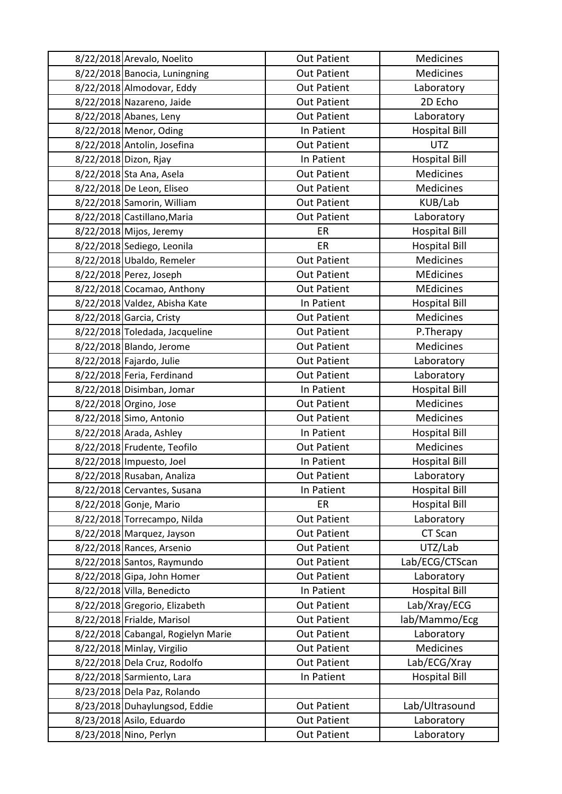| 8/22/2018 Arevalo, Noelito         | <b>Out Patient</b> | Medicines            |
|------------------------------------|--------------------|----------------------|
| 8/22/2018 Banocia, Luningning      | <b>Out Patient</b> | <b>Medicines</b>     |
| 8/22/2018 Almodovar, Eddy          | <b>Out Patient</b> | Laboratory           |
| 8/22/2018 Nazareno, Jaide          | <b>Out Patient</b> | 2D Echo              |
| 8/22/2018 Abanes, Leny             | <b>Out Patient</b> | Laboratory           |
| 8/22/2018 Menor, Oding             | In Patient         | <b>Hospital Bill</b> |
| 8/22/2018 Antolin, Josefina        | <b>Out Patient</b> | <b>UTZ</b>           |
| 8/22/2018 Dizon, Rjay              | In Patient         | <b>Hospital Bill</b> |
| 8/22/2018 Sta Ana, Asela           | <b>Out Patient</b> | Medicines            |
| 8/22/2018 De Leon, Eliseo          | <b>Out Patient</b> | <b>Medicines</b>     |
| 8/22/2018 Samorin, William         | <b>Out Patient</b> | KUB/Lab              |
| 8/22/2018 Castillano, Maria        | <b>Out Patient</b> | Laboratory           |
| 8/22/2018 Mijos, Jeremy            | ER                 | <b>Hospital Bill</b> |
| 8/22/2018 Sediego, Leonila         | ER                 | <b>Hospital Bill</b> |
| 8/22/2018 Ubaldo, Remeler          | <b>Out Patient</b> | Medicines            |
| 8/22/2018 Perez, Joseph            | <b>Out Patient</b> | <b>MEdicines</b>     |
| 8/22/2018 Cocamao, Anthony         | <b>Out Patient</b> | <b>MEdicines</b>     |
| 8/22/2018 Valdez, Abisha Kate      | In Patient         | <b>Hospital Bill</b> |
| 8/22/2018 Garcia, Cristy           | <b>Out Patient</b> | Medicines            |
| 8/22/2018 Toledada, Jacqueline     | <b>Out Patient</b> | P.Therapy            |
| 8/22/2018 Blando, Jerome           | <b>Out Patient</b> | <b>Medicines</b>     |
| 8/22/2018 Fajardo, Julie           | <b>Out Patient</b> | Laboratory           |
| 8/22/2018 Feria, Ferdinand         | <b>Out Patient</b> | Laboratory           |
| 8/22/2018 Disimban, Jomar          | In Patient         | <b>Hospital Bill</b> |
| 8/22/2018 Orgino, Jose             | <b>Out Patient</b> | Medicines            |
| 8/22/2018 Simo, Antonio            | <b>Out Patient</b> | Medicines            |
| 8/22/2018 Arada, Ashley            | In Patient         | <b>Hospital Bill</b> |
| 8/22/2018 Frudente, Teofilo        | <b>Out Patient</b> | Medicines            |
| 8/22/2018 Impuesto, Joel           | In Patient         | <b>Hospital Bill</b> |
| 8/22/2018 Rusaban, Analiza         | <b>Out Patient</b> | Laboratory           |
| 8/22/2018 Cervantes, Susana        | In Patient         | <b>Hospital Bill</b> |
| 8/22/2018 Gonje, Mario             | ER                 | <b>Hospital Bill</b> |
| 8/22/2018 Torrecampo, Nilda        | <b>Out Patient</b> | Laboratory           |
| 8/22/2018 Marquez, Jayson          | <b>Out Patient</b> | CT Scan              |
| 8/22/2018 Rances, Arsenio          | <b>Out Patient</b> | UTZ/Lab              |
| 8/22/2018 Santos, Raymundo         | <b>Out Patient</b> | Lab/ECG/CTScan       |
| 8/22/2018 Gipa, John Homer         | <b>Out Patient</b> | Laboratory           |
| 8/22/2018 Villa, Benedicto         | In Patient         | <b>Hospital Bill</b> |
| 8/22/2018 Gregorio, Elizabeth      | <b>Out Patient</b> | Lab/Xray/ECG         |
| 8/22/2018 Frialde, Marisol         | <b>Out Patient</b> | lab/Mammo/Ecg        |
| 8/22/2018 Cabangal, Rogielyn Marie | <b>Out Patient</b> | Laboratory           |
| 8/22/2018 Minlay, Virgilio         | <b>Out Patient</b> | <b>Medicines</b>     |
| 8/22/2018 Dela Cruz, Rodolfo       | <b>Out Patient</b> | Lab/ECG/Xray         |
| 8/22/2018 Sarmiento, Lara          | In Patient         | <b>Hospital Bill</b> |
| 8/23/2018 Dela Paz, Rolando        |                    |                      |
| 8/23/2018 Duhaylungsod, Eddie      | <b>Out Patient</b> | Lab/Ultrasound       |
| 8/23/2018 Asilo, Eduardo           | <b>Out Patient</b> | Laboratory           |
| 8/23/2018 Nino, Perlyn             | <b>Out Patient</b> | Laboratory           |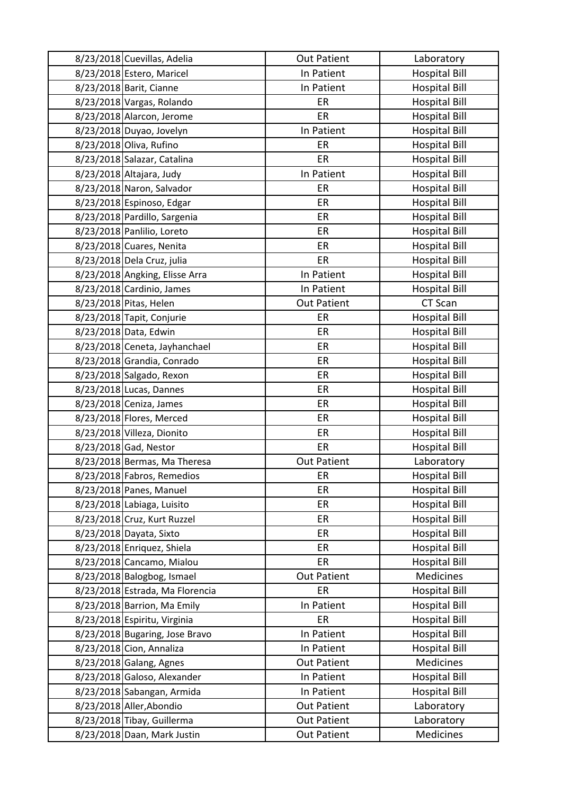| 8/23/2018 Cuevillas, Adelia     | <b>Out Patient</b> | Laboratory           |
|---------------------------------|--------------------|----------------------|
| 8/23/2018 Estero, Maricel       | In Patient         | <b>Hospital Bill</b> |
| 8/23/2018 Barit, Cianne         | In Patient         | <b>Hospital Bill</b> |
| 8/23/2018 Vargas, Rolando       | ER                 | <b>Hospital Bill</b> |
| 8/23/2018 Alarcon, Jerome       | ER                 | <b>Hospital Bill</b> |
| 8/23/2018 Duyao, Jovelyn        | In Patient         | <b>Hospital Bill</b> |
| 8/23/2018 Oliva, Rufino         | ER                 | <b>Hospital Bill</b> |
| 8/23/2018 Salazar, Catalina     | ER                 | <b>Hospital Bill</b> |
| 8/23/2018 Altajara, Judy        | In Patient         | <b>Hospital Bill</b> |
| 8/23/2018 Naron, Salvador       | ER                 | <b>Hospital Bill</b> |
| 8/23/2018 Espinoso, Edgar       | ER                 | <b>Hospital Bill</b> |
| 8/23/2018 Pardillo, Sargenia    | ER                 | <b>Hospital Bill</b> |
| 8/23/2018 Panlilio, Loreto      | ER                 | <b>Hospital Bill</b> |
| 8/23/2018 Cuares, Nenita        | ER                 | <b>Hospital Bill</b> |
| 8/23/2018 Dela Cruz, julia      | ER                 | <b>Hospital Bill</b> |
| 8/23/2018 Angking, Elisse Arra  | In Patient         | <b>Hospital Bill</b> |
| 8/23/2018 Cardinio, James       | In Patient         | <b>Hospital Bill</b> |
| 8/23/2018 Pitas, Helen          | <b>Out Patient</b> | CT Scan              |
| 8/23/2018 Tapit, Conjurie       | ER                 | <b>Hospital Bill</b> |
| 8/23/2018 Data, Edwin           | ER                 | <b>Hospital Bill</b> |
| 8/23/2018 Ceneta, Jayhanchael   | ER                 | <b>Hospital Bill</b> |
| 8/23/2018 Grandia, Conrado      | ER                 | <b>Hospital Bill</b> |
| 8/23/2018 Salgado, Rexon        | ER                 | <b>Hospital Bill</b> |
| 8/23/2018 Lucas, Dannes         | ER                 | <b>Hospital Bill</b> |
| 8/23/2018 Ceniza, James         | ER                 | <b>Hospital Bill</b> |
| 8/23/2018 Flores, Merced        | ER                 | <b>Hospital Bill</b> |
| 8/23/2018 Villeza, Dionito      | ER                 | <b>Hospital Bill</b> |
| 8/23/2018 Gad, Nestor           | ER                 | <b>Hospital Bill</b> |
| 8/23/2018 Bermas, Ma Theresa    | <b>Out Patient</b> | Laboratory           |
| 8/23/2018 Fabros, Remedios      | ER                 | <b>Hospital Bill</b> |
| 8/23/2018 Panes, Manuel         | ER                 | <b>Hospital Bill</b> |
| 8/23/2018 Labiaga, Luisito      | ER                 | <b>Hospital Bill</b> |
| 8/23/2018 Cruz, Kurt Ruzzel     | ER                 | <b>Hospital Bill</b> |
| 8/23/2018 Dayata, Sixto         | ER                 | <b>Hospital Bill</b> |
| 8/23/2018 Enriquez, Shiela      | ER                 | <b>Hospital Bill</b> |
| 8/23/2018 Cancamo, Mialou       | ER                 | <b>Hospital Bill</b> |
| 8/23/2018 Balogbog, Ismael      | <b>Out Patient</b> | <b>Medicines</b>     |
| 8/23/2018 Estrada, Ma Florencia | ER                 | <b>Hospital Bill</b> |
| 8/23/2018 Barrion, Ma Emily     | In Patient         | <b>Hospital Bill</b> |
| 8/23/2018 Espiritu, Virginia    | ER                 | <b>Hospital Bill</b> |
| 8/23/2018 Bugaring, Jose Bravo  | In Patient         | <b>Hospital Bill</b> |
| 8/23/2018 Cion, Annaliza        | In Patient         | <b>Hospital Bill</b> |
| 8/23/2018 Galang, Agnes         | <b>Out Patient</b> | <b>Medicines</b>     |
| 8/23/2018 Galoso, Alexander     | In Patient         | <b>Hospital Bill</b> |
| 8/23/2018 Sabangan, Armida      | In Patient         | <b>Hospital Bill</b> |
| 8/23/2018 Aller, Abondio        | <b>Out Patient</b> | Laboratory           |
| 8/23/2018 Tibay, Guillerma      | <b>Out Patient</b> | Laboratory           |
| 8/23/2018 Daan, Mark Justin     | <b>Out Patient</b> | Medicines            |